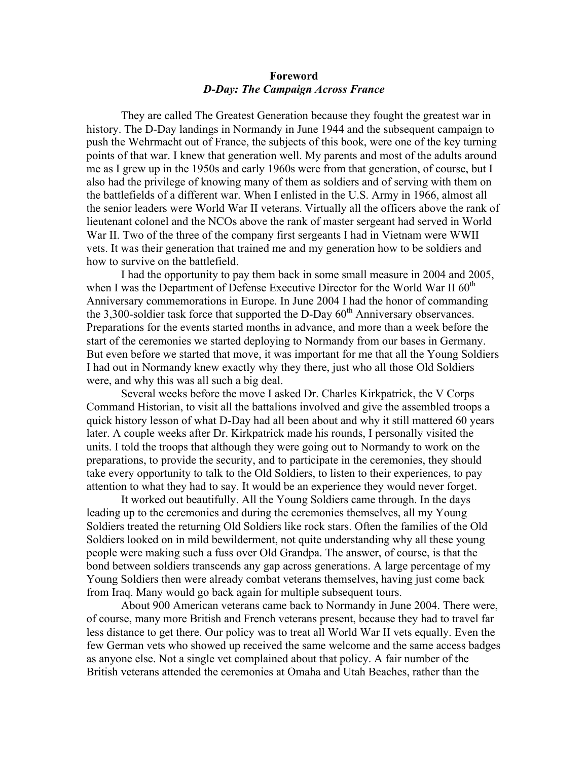## **Foreword** *D-Day: The Campaign Across France*

They are called The Greatest Generation because they fought the greatest war in history. The D-Day landings in Normandy in June 1944 and the subsequent campaign to push the Wehrmacht out of France, the subjects of this book, were one of the key turning points of that war. I knew that generation well. My parents and most of the adults around me as I grew up in the 1950s and early 1960s were from that generation, of course, but I also had the privilege of knowing many of them as soldiers and of serving with them on the battlefields of a different war. When I enlisted in the U.S. Army in 1966, almost all the senior leaders were World War II veterans. Virtually all the officers above the rank of lieutenant colonel and the NCOs above the rank of master sergeant had served in World War II. Two of the three of the company first sergeants I had in Vietnam were WWII vets. It was their generation that trained me and my generation how to be soldiers and how to survive on the battlefield.

I had the opportunity to pay them back in some small measure in 2004 and 2005, when I was the Department of Defense Executive Director for the World War II  $60<sup>th</sup>$ Anniversary commemorations in Europe. In June 2004 I had the honor of commanding the 3,300-soldier task force that supported the D-Day  $60<sup>th</sup>$  Anniversary observances. Preparations for the events started months in advance, and more than a week before the start of the ceremonies we started deploying to Normandy from our bases in Germany. But even before we started that move, it was important for me that all the Young Soldiers I had out in Normandy knew exactly why they there, just who all those Old Soldiers were, and why this was all such a big deal.

Several weeks before the move I asked Dr. Charles Kirkpatrick, the V Corps Command Historian, to visit all the battalions involved and give the assembled troops a quick history lesson of what D-Day had all been about and why it still mattered 60 years later. A couple weeks after Dr. Kirkpatrick made his rounds, I personally visited the units. I told the troops that although they were going out to Normandy to work on the preparations, to provide the security, and to participate in the ceremonies, they should take every opportunity to talk to the Old Soldiers, to listen to their experiences, to pay attention to what they had to say. It would be an experience they would never forget.

It worked out beautifully. All the Young Soldiers came through. In the days leading up to the ceremonies and during the ceremonies themselves, all my Young Soldiers treated the returning Old Soldiers like rock stars. Often the families of the Old Soldiers looked on in mild bewilderment, not quite understanding why all these young people were making such a fuss over Old Grandpa. The answer, of course, is that the bond between soldiers transcends any gap across generations. A large percentage of my Young Soldiers then were already combat veterans themselves, having just come back from Iraq. Many would go back again for multiple subsequent tours.

About 900 American veterans came back to Normandy in June 2004. There were, of course, many more British and French veterans present, because they had to travel far less distance to get there. Our policy was to treat all World War II vets equally. Even the few German vets who showed up received the same welcome and the same access badges as anyone else. Not a single vet complained about that policy. A fair number of the British veterans attended the ceremonies at Omaha and Utah Beaches, rather than the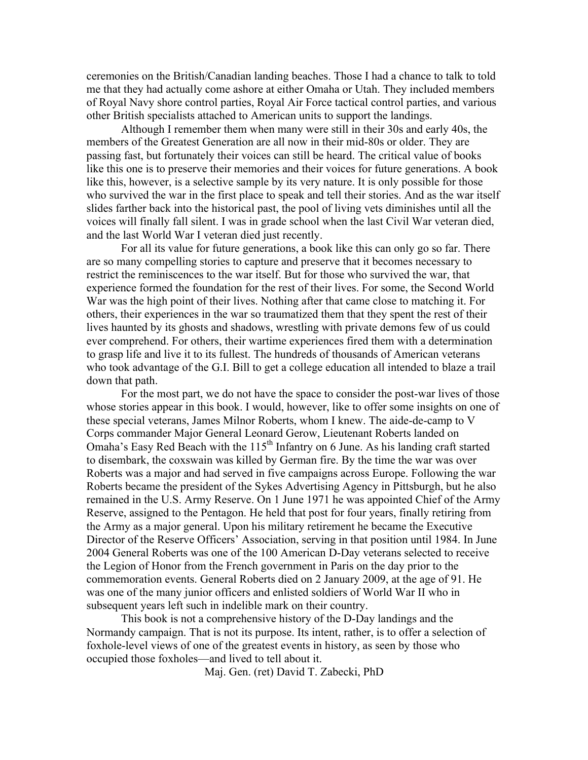ceremonies on the British/Canadian landing beaches. Those I had a chance to talk to told me that they had actually come ashore at either Omaha or Utah. They included members of Royal Navy shore control parties, Royal Air Force tactical control parties, and various other British specialists attached to American units to support the landings.

Although I remember them when many were still in their 30s and early 40s, the members of the Greatest Generation are all now in their mid-80s or older. They are passing fast, but fortunately their voices can still be heard. The critical value of books like this one is to preserve their memories and their voices for future generations. A book like this, however, is a selective sample by its very nature. It is only possible for those who survived the war in the first place to speak and tell their stories. And as the war itself slides farther back into the historical past, the pool of living vets diminishes until all the voices will finally fall silent. I was in grade school when the last Civil War veteran died, and the last World War I veteran died just recently.

For all its value for future generations, a book like this can only go so far. There are so many compelling stories to capture and preserve that it becomes necessary to restrict the reminiscences to the war itself. But for those who survived the war, that experience formed the foundation for the rest of their lives. For some, the Second World War was the high point of their lives. Nothing after that came close to matching it. For others, their experiences in the war so traumatized them that they spent the rest of their lives haunted by its ghosts and shadows, wrestling with private demons few of us could ever comprehend. For others, their wartime experiences fired them with a determination to grasp life and live it to its fullest. The hundreds of thousands of American veterans who took advantage of the G.I. Bill to get a college education all intended to blaze a trail down that path.

For the most part, we do not have the space to consider the post-war lives of those whose stories appear in this book. I would, however, like to offer some insights on one of these special veterans, James Milnor Roberts, whom I knew. The aide-de-camp to V Corps commander Major General Leonard Gerow, Lieutenant Roberts landed on Omaha's Easy Red Beach with the  $115<sup>th</sup>$  Infantry on 6 June. As his landing craft started to disembark, the coxswain was killed by German fire. By the time the war was over Roberts was a major and had served in five campaigns across Europe. Following the war Roberts became the president of the Sykes Advertising Agency in Pittsburgh, but he also remained in the U.S. Army Reserve. On 1 June 1971 he was appointed Chief of the Army Reserve, assigned to the Pentagon. He held that post for four years, finally retiring from the Army as a major general. Upon his military retirement he became the Executive Director of the Reserve Officers' Association, serving in that position until 1984. In June 2004 General Roberts was one of the 100 American D-Day veterans selected to receive the Legion of Honor from the French government in Paris on the day prior to the commemoration events. General Roberts died on 2 January 2009, at the age of 91. He was one of the many junior officers and enlisted soldiers of World War II who in subsequent years left such in indelible mark on their country.

This book is not a comprehensive history of the D-Day landings and the Normandy campaign. That is not its purpose. Its intent, rather, is to offer a selection of foxhole-level views of one of the greatest events in history, as seen by those who occupied those foxholes—and lived to tell about it.

Maj. Gen. (ret) David T. Zabecki, PhD